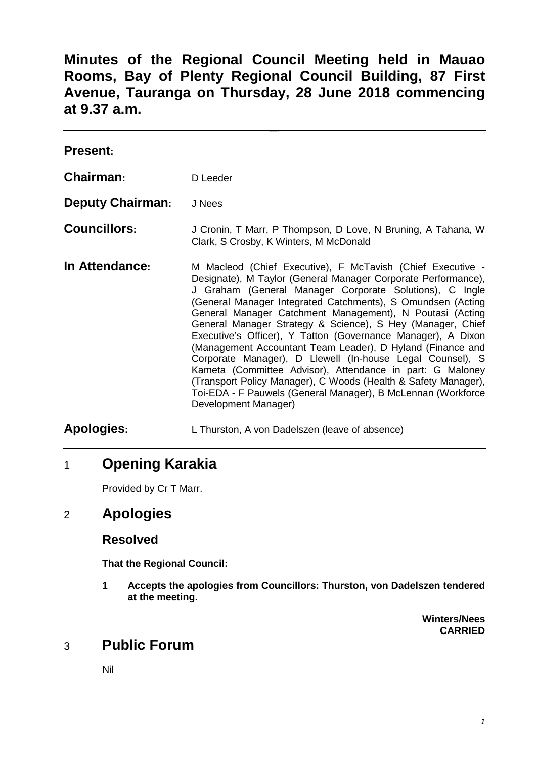**Minutes of the Regional Council Meeting held in Mauao Rooms, Bay of Plenty Regional Council Building, 87 First Avenue, Tauranga on Thursday, 28 June 2018 commencing at 9.37 a.m.** 

| <b>Present:</b>         |                                                                                                                                                                                                                                                                                                                                                                                                                                                                                                                                                                                                                                                                                                                                                                                                   |
|-------------------------|---------------------------------------------------------------------------------------------------------------------------------------------------------------------------------------------------------------------------------------------------------------------------------------------------------------------------------------------------------------------------------------------------------------------------------------------------------------------------------------------------------------------------------------------------------------------------------------------------------------------------------------------------------------------------------------------------------------------------------------------------------------------------------------------------|
| Chairman:               | D Leeder                                                                                                                                                                                                                                                                                                                                                                                                                                                                                                                                                                                                                                                                                                                                                                                          |
| <b>Deputy Chairman:</b> | J Nees                                                                                                                                                                                                                                                                                                                                                                                                                                                                                                                                                                                                                                                                                                                                                                                            |
| <b>Councillors:</b>     | J Cronin, T Marr, P Thompson, D Love, N Bruning, A Tahana, W<br>Clark, S Crosby, K Winters, M McDonald                                                                                                                                                                                                                                                                                                                                                                                                                                                                                                                                                                                                                                                                                            |
| In Attendance:          | M Macleod (Chief Executive), F McTavish (Chief Executive -<br>Designate), M Taylor (General Manager Corporate Performance),<br>J Graham (General Manager Corporate Solutions), C Ingle<br>(General Manager Integrated Catchments), S Omundsen (Acting<br>General Manager Catchment Management), N Poutasi (Acting<br>General Manager Strategy & Science), S Hey (Manager, Chief<br>Executive's Officer), Y Tatton (Governance Manager), A Dixon<br>(Management Accountant Team Leader), D Hyland (Finance and<br>Corporate Manager), D Llewell (In-house Legal Counsel), S<br>Kameta (Committee Advisor), Attendance in part: G Maloney<br>(Transport Policy Manager), C Woods (Health & Safety Manager),<br>Toi-EDA - F Pauwels (General Manager), B McLennan (Workforce<br>Development Manager) |
| <b>Apologies:</b>       | L Thurston, A von Dadelszen (leave of absence)                                                                                                                                                                                                                                                                                                                                                                                                                                                                                                                                                                                                                                                                                                                                                    |

# 1 **Opening Karakia**

Provided by Cr T Marr.

# 2 **Apologies**

### **Resolved**

**That the Regional Council:** 

**1 Accepts the apologies from Councillors: Thurston, von Dadelszen tendered at the meeting.** 

> **Winters/Nees CARRIED**

# 3 **Public Forum**

Nil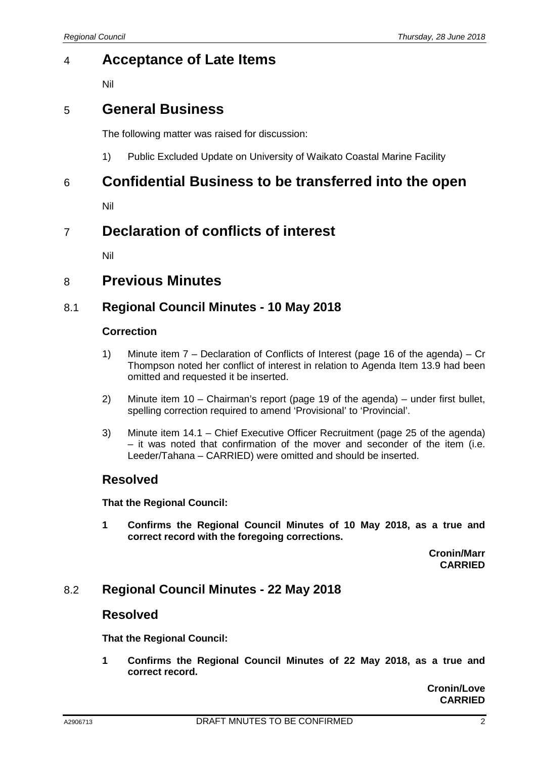# 4 **Acceptance of Late Items**

Nil

## 5 **General Business**

The following matter was raised for discussion:

1) Public Excluded Update on University of Waikato Coastal Marine Facility

## 6 **Confidential Business to be transferred into the open**

Nil

# 7 **Declaration of conflicts of interest**

Nil

## 8 **Previous Minutes**

### 8.1 **Regional Council Minutes - 10 May 2018**

#### **Correction**

- 1) Minute item 7 Declaration of Conflicts of Interest (page 16 of the agenda) Cr Thompson noted her conflict of interest in relation to Agenda Item 13.9 had been omitted and requested it be inserted.
- 2) Minute item 10 Chairman's report (page 19 of the agenda) under first bullet, spelling correction required to amend 'Provisional' to 'Provincial'.
- 3) Minute item 14.1 Chief Executive Officer Recruitment (page 25 of the agenda) – it was noted that confirmation of the mover and seconder of the item (i.e. Leeder/Tahana – CARRIED) were omitted and should be inserted.

#### **Resolved**

**That the Regional Council:** 

**1 Confirms the Regional Council Minutes of 10 May 2018, as a true and correct record with the foregoing corrections.** 

> **Cronin/Marr CARRIED**

### 8.2 **Regional Council Minutes - 22 May 2018**

### **Resolved**

**That the Regional Council:** 

**1 Confirms the Regional Council Minutes of 22 May 2018, as a true and correct record.** 

> **Cronin/Love CARRIED**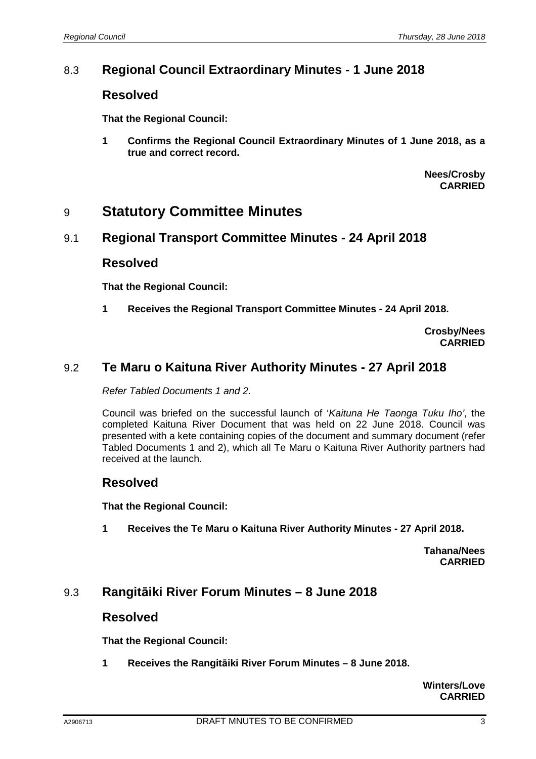### 8.3 **Regional Council Extraordinary Minutes - 1 June 2018**

### **Resolved**

**That the Regional Council:** 

**1 Confirms the Regional Council Extraordinary Minutes of 1 June 2018, as a true and correct record.** 

> **Nees/Crosby CARRIED**

## 9 **Statutory Committee Minutes**

#### 9.1 **Regional Transport Committee Minutes - 24 April 2018**

#### **Resolved**

**That the Regional Council:** 

**1 Receives the Regional Transport Committee Minutes - 24 April 2018.** 

**Crosby/Nees CARRIED**

### 9.2 **Te Maru o Kaituna River Authority Minutes - 27 April 2018**

Refer Tabled Documents 1 and 2.

Council was briefed on the successful launch of 'Kaituna He Taonga Tuku Iho', the completed Kaituna River Document that was held on 22 June 2018. Council was presented with a kete containing copies of the document and summary document (refer Tabled Documents 1 and 2), which all Te Maru o Kaituna River Authority partners had received at the launch.

#### **Resolved**

**That the Regional Council:** 

**1 Receives the Te Maru o Kaituna River Authority Minutes - 27 April 2018.** 

**Tahana/Nees CARRIED**

### 9.3 **Rangitāiki River Forum Minutes – 8 June 2018**

### **Resolved**

**That the Regional Council:** 

**1 Receives the Rangitāiki River Forum Minutes – 8 June 2018.** 

**Winters/Love CARRIED**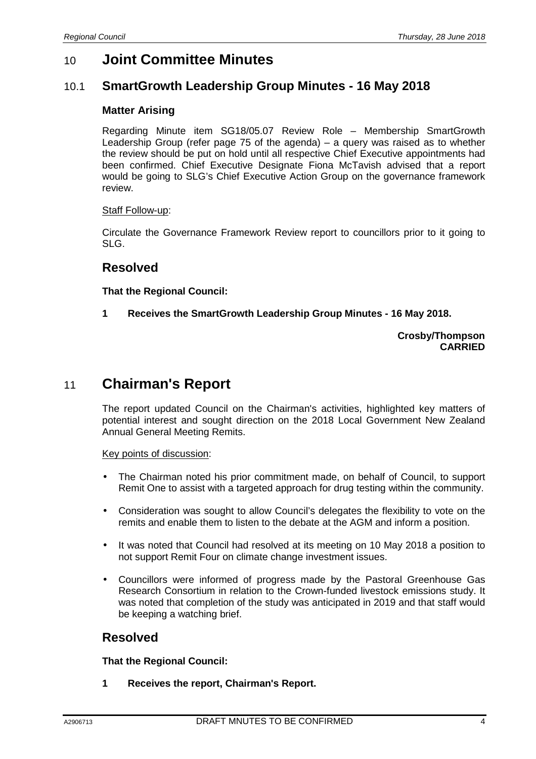# 10 **Joint Committee Minutes**

### 10.1 **SmartGrowth Leadership Group Minutes - 16 May 2018**

#### **Matter Arising**

Regarding Minute item SG18/05.07 Review Role – Membership SmartGrowth Leadership Group (refer page 75 of the agenda) – a query was raised as to whether the review should be put on hold until all respective Chief Executive appointments had been confirmed. Chief Executive Designate Fiona McTavish advised that a report would be going to SLG's Chief Executive Action Group on the governance framework review.

#### Staff Follow-up:

Circulate the Governance Framework Review report to councillors prior to it going to SLG.

### **Resolved**

**That the Regional Council:** 

**1 Receives the SmartGrowth Leadership Group Minutes - 16 May 2018.** 

#### **Crosby/Thompson CARRIED**

# 11 **Chairman's Report**

The report updated Council on the Chairman's activities, highlighted key matters of potential interest and sought direction on the 2018 Local Government New Zealand Annual General Meeting Remits.

#### Key points of discussion:

- The Chairman noted his prior commitment made, on behalf of Council, to support Remit One to assist with a targeted approach for drug testing within the community.
- Consideration was sought to allow Council's delegates the flexibility to vote on the remits and enable them to listen to the debate at the AGM and inform a position.
- It was noted that Council had resolved at its meeting on 10 May 2018 a position to not support Remit Four on climate change investment issues.
- Councillors were informed of progress made by the Pastoral Greenhouse Gas Research Consortium in relation to the Crown-funded livestock emissions study. It was noted that completion of the study was anticipated in 2019 and that staff would be keeping a watching brief.

#### **Resolved**

**That the Regional Council:** 

**1 Receives the report, Chairman's Report.**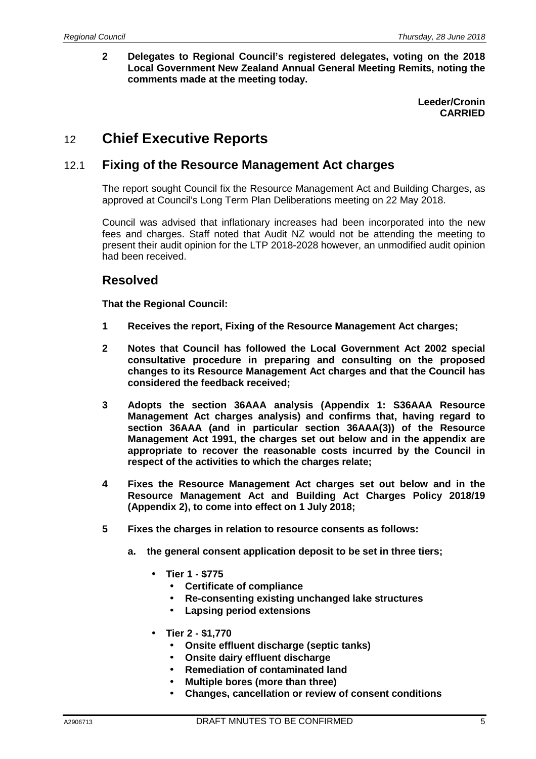**2 Delegates to Regional Council's registered delegates, voting on the 2018 Local Government New Zealand Annual General Meeting Remits, noting the comments made at the meeting today.** 

> **Leeder/Cronin CARRIED**

# 12 **Chief Executive Reports**

### 12.1 **Fixing of the Resource Management Act charges**

The report sought Council fix the Resource Management Act and Building Charges, as approved at Council's Long Term Plan Deliberations meeting on 22 May 2018.

Council was advised that inflationary increases had been incorporated into the new fees and charges. Staff noted that Audit NZ would not be attending the meeting to present their audit opinion for the LTP 2018-2028 however, an unmodified audit opinion had been received.

## **Resolved**

**That the Regional Council:** 

- **1 Receives the report, Fixing of the Resource Management Act charges;**
- **2 Notes that Council has followed the Local Government Act 2002 special consultative procedure in preparing and consulting on the proposed changes to its Resource Management Act charges and that the Council has considered the feedback received;**
- **3 Adopts the section 36AAA analysis (Appendix 1: S36AAA Resource Management Act charges analysis) and confirms that, having regard to section 36AAA (and in particular section 36AAA(3)) of the Resource Management Act 1991, the charges set out below and in the appendix are appropriate to recover the reasonable costs incurred by the Council in respect of the activities to which the charges relate;**
- **4 Fixes the Resource Management Act charges set out below and in the Resource Management Act and Building Act Charges Policy 2018/19 (Appendix 2), to come into effect on 1 July 2018;**
- **5 Fixes the charges in relation to resource consents as follows:**
	- **a. the general consent application deposit to be set in three tiers;** 
		- **Tier 1 \$775** 
			- **Certificate of compliance**
			- **Re-consenting existing unchanged lake structures**
			- **Lapsing period extensions**
		- **Tier 2 \$1,770** 
			- **Onsite effluent discharge (septic tanks)**
			- **Onsite dairy effluent discharge**
			- **Remediation of contaminated land**
			- **Multiple bores (more than three)**
			- **Changes, cancellation or review of consent conditions**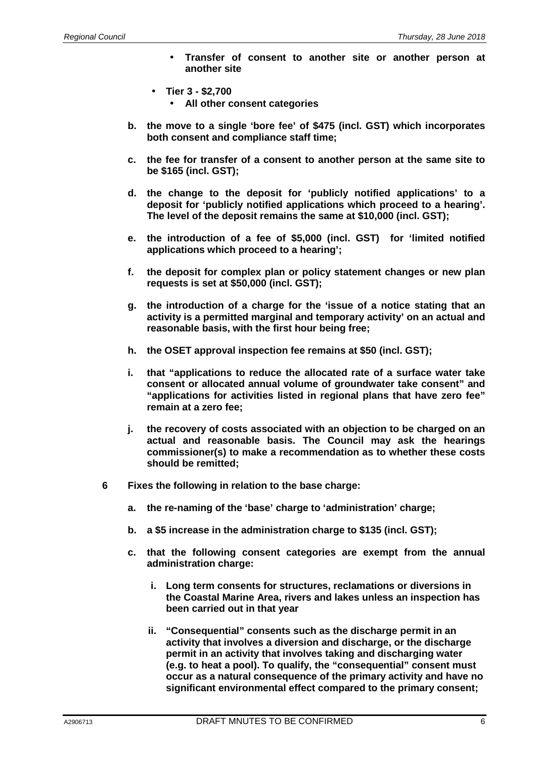- **Transfer of consent to another site or another person at another site**
- **Tier 3 \$2,700** 
	- **All other consent categories**
- **b. the move to a single 'bore fee' of \$475 (incl. GST) which incorporates both consent and compliance staff time;**
- **c. the fee for transfer of a consent to another person at the same site to be \$165 (incl. GST);**
- **d. the change to the deposit for 'publicly notified applications' to a deposit for 'publicly notified applications which proceed to a hearing'. The level of the deposit remains the same at \$10,000 (incl. GST);**
- **e. the introduction of a fee of \$5,000 (incl. GST) for 'limited notified applications which proceed to a hearing';**
- **f. the deposit for complex plan or policy statement changes or new plan requests is set at \$50,000 (incl. GST);**
- **g. the introduction of a charge for the 'issue of a notice stating that an activity is a permitted marginal and temporary activity' on an actual and reasonable basis, with the first hour being free;**
- **h. the OSET approval inspection fee remains at \$50 (incl. GST);**
- **i. that "applications to reduce the allocated rate of a surface water take consent or allocated annual volume of groundwater take consent" and "applications for activities listed in regional plans that have zero fee" remain at a zero fee;**
- **j. the recovery of costs associated with an objection to be charged on an actual and reasonable basis. The Council may ask the hearings commissioner(s) to make a recommendation as to whether these costs should be remitted;**
- **6 Fixes the following in relation to the base charge:** 
	- **a. the re-naming of the 'base' charge to 'administration' charge;**
	- **b. a \$5 increase in the administration charge to \$135 (incl. GST);**
	- **c. that the following consent categories are exempt from the annual administration charge:** 
		- **i. Long term consents for structures, reclamations or diversions in the Coastal Marine Area, rivers and lakes unless an inspection has been carried out in that year**
		- **ii. "Consequential" consents such as the discharge permit in an activity that involves a diversion and discharge, or the discharge permit in an activity that involves taking and discharging water (e.g. to heat a pool). To qualify, the "consequential" consent must occur as a natural consequence of the primary activity and have no significant environmental effect compared to the primary consent;**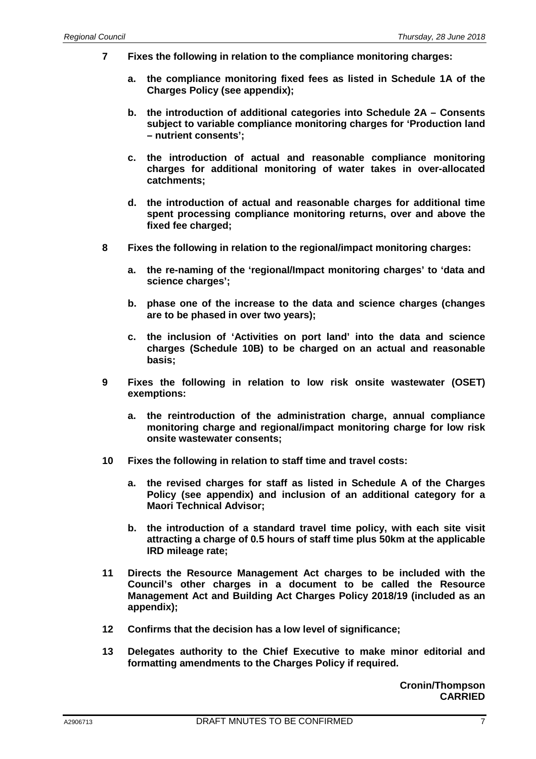- **7 Fixes the following in relation to the compliance monitoring charges:** 
	- **a. the compliance monitoring fixed fees as listed in Schedule 1A of the Charges Policy (see appendix);**
	- **b. the introduction of additional categories into Schedule 2A Consents subject to variable compliance monitoring charges for 'Production land – nutrient consents';**
	- **c. the introduction of actual and reasonable compliance monitoring charges for additional monitoring of water takes in over-allocated catchments;**
	- **d. the introduction of actual and reasonable charges for additional time spent processing compliance monitoring returns, over and above the fixed fee charged;**
- **8 Fixes the following in relation to the regional/impact monitoring charges:** 
	- **a. the re-naming of the 'regional/Impact monitoring charges' to 'data and science charges';**
	- **b. phase one of the increase to the data and science charges (changes are to be phased in over two years);**
	- **c. the inclusion of 'Activities on port land' into the data and science charges (Schedule 10B) to be charged on an actual and reasonable basis;**
- **9 Fixes the following in relation to low risk onsite wastewater (OSET) exemptions:** 
	- **a. the reintroduction of the administration charge, annual compliance monitoring charge and regional/impact monitoring charge for low risk onsite wastewater consents;**
- **10 Fixes the following in relation to staff time and travel costs:** 
	- **a. the revised charges for staff as listed in Schedule A of the Charges Policy (see appendix) and inclusion of an additional category for a Maori Technical Advisor;**
	- **b. the introduction of a standard travel time policy, with each site visit attracting a charge of 0.5 hours of staff time plus 50km at the applicable IRD mileage rate;**
- **11 Directs the Resource Management Act charges to be included with the Council's other charges in a document to be called the Resource Management Act and Building Act Charges Policy 2018/19 (included as an appendix);**
- **12 Confirms that the decision has a low level of significance;**
- **13 Delegates authority to the Chief Executive to make minor editorial and formatting amendments to the Charges Policy if required.**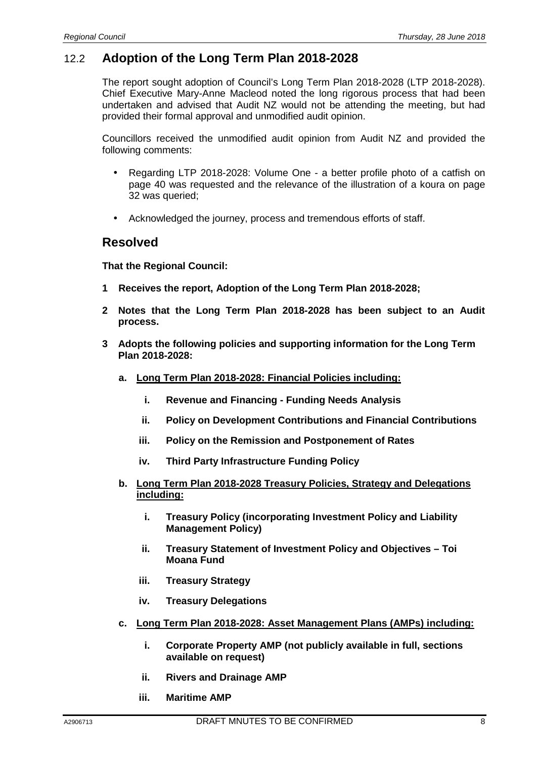### 12.2 **Adoption of the Long Term Plan 2018-2028**

The report sought adoption of Council's Long Term Plan 2018-2028 (LTP 2018-2028). Chief Executive Mary-Anne Macleod noted the long rigorous process that had been undertaken and advised that Audit NZ would not be attending the meeting, but had provided their formal approval and unmodified audit opinion.

Councillors received the unmodified audit opinion from Audit NZ and provided the following comments:

- Regarding LTP 2018-2028: Volume One a better profile photo of a catfish on page 40 was requested and the relevance of the illustration of a koura on page 32 was queried;
- Acknowledged the journey, process and tremendous efforts of staff.

### **Resolved**

**That the Regional Council:** 

- **1 Receives the report, Adoption of the Long Term Plan 2018-2028;**
- **2 Notes that the Long Term Plan 2018-2028 has been subject to an Audit process.**
- **3 Adopts the following policies and supporting information for the Long Term Plan 2018-2028:** 
	- **a. Long Term Plan 2018-2028: Financial Policies including:** 
		- **i. Revenue and Financing Funding Needs Analysis**
		- **ii. Policy on Development Contributions and Financial Contributions**
		- **iii. Policy on the Remission and Postponement of Rates**
		- **iv. Third Party Infrastructure Funding Policy**
	- **b. Long Term Plan 2018-2028 Treasury Policies, Strategy and Delegations including:** 
		- **i. Treasury Policy (incorporating Investment Policy and Liability Management Policy)**
		- **ii. Treasury Statement of Investment Policy and Objectives Toi Moana Fund**
		- **iii. Treasury Strategy**
		- **iv. Treasury Delegations**
	- **c. Long Term Plan 2018-2028: Asset Management Plans (AMPs) including:** 
		- **i. Corporate Property AMP (not publicly available in full, sections available on request)**
		- **ii. Rivers and Drainage AMP**
		- **iii. Maritime AMP**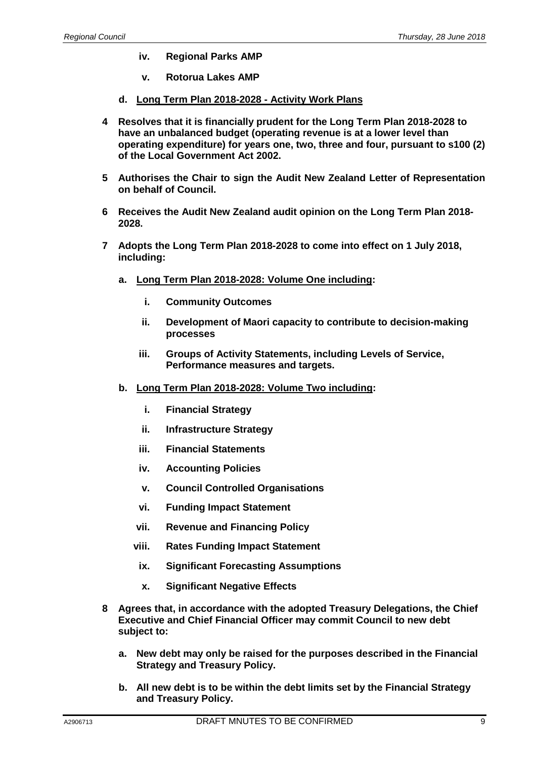- **iv. Regional Parks AMP**
- **v. Rotorua Lakes AMP**
- **d. Long Term Plan 2018-2028 Activity Work Plans**
- **4 Resolves that it is financially prudent for the Long Term Plan 2018-2028 to have an unbalanced budget (operating revenue is at a lower level than operating expenditure) for years one, two, three and four, pursuant to s100 (2) of the Local Government Act 2002.**
- **5 Authorises the Chair to sign the Audit New Zealand Letter of Representation on behalf of Council.**
- **6 Receives the Audit New Zealand audit opinion on the Long Term Plan 2018- 2028.**
- **7 Adopts the Long Term Plan 2018-2028 to come into effect on 1 July 2018, including:** 
	- **a. Long Term Plan 2018-2028: Volume One including:** 
		- **i. Community Outcomes**
		- **ii. Development of Maori capacity to contribute to decision-making processes**
		- **iii. Groups of Activity Statements, including Levels of Service, Performance measures and targets.**
	- **b. Long Term Plan 2018-2028: Volume Two including:** 
		- **i. Financial Strategy**
		- **ii. Infrastructure Strategy**
		- **iii. Financial Statements**
		- **iv. Accounting Policies**
		- **v. Council Controlled Organisations**
		- **vi. Funding Impact Statement**
		- **vii. Revenue and Financing Policy**
		- **viii. Rates Funding Impact Statement**
		- **ix. Significant Forecasting Assumptions**
		- **x. Significant Negative Effects**
- **8 Agrees that, in accordance with the adopted Treasury Delegations, the Chief Executive and Chief Financial Officer may commit Council to new debt subject to:** 
	- **a. New debt may only be raised for the purposes described in the Financial Strategy and Treasury Policy.**
	- **b. All new debt is to be within the debt limits set by the Financial Strategy and Treasury Policy.**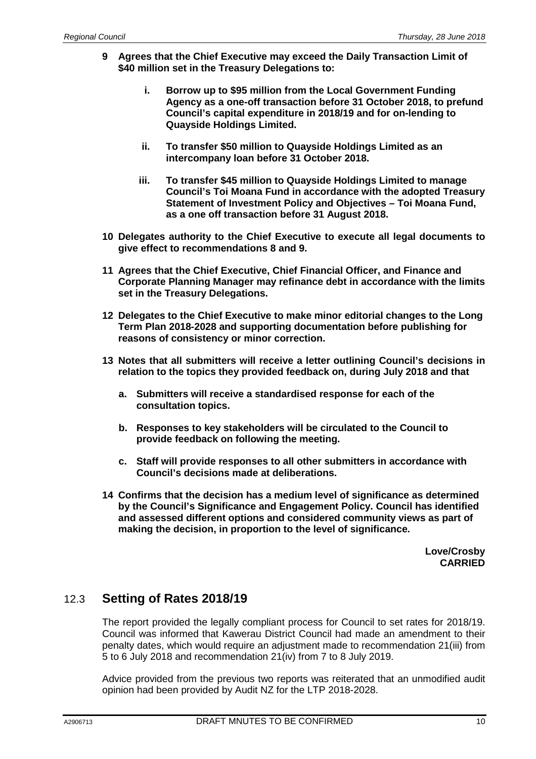- **9 Agrees that the Chief Executive may exceed the Daily Transaction Limit of \$40 million set in the Treasury Delegations to:** 
	- **i. Borrow up to \$95 million from the Local Government Funding Agency as a one-off transaction before 31 October 2018, to prefund Council's capital expenditure in 2018/19 and for on-lending to Quayside Holdings Limited.**
	- **ii. To transfer \$50 million to Quayside Holdings Limited as an intercompany loan before 31 October 2018.**
	- **iii. To transfer \$45 million to Quayside Holdings Limited to manage Council's Toi Moana Fund in accordance with the adopted Treasury Statement of Investment Policy and Objectives – Toi Moana Fund, as a one off transaction before 31 August 2018.**
- **10 Delegates authority to the Chief Executive to execute all legal documents to give effect to recommendations 8 and 9.**
- **11 Agrees that the Chief Executive, Chief Financial Officer, and Finance and Corporate Planning Manager may refinance debt in accordance with the limits set in the Treasury Delegations.**
- **12 Delegates to the Chief Executive to make minor editorial changes to the Long Term Plan 2018-2028 and supporting documentation before publishing for reasons of consistency or minor correction.**
- **13 Notes that all submitters will receive a letter outlining Council's decisions in relation to the topics they provided feedback on, during July 2018 and that** 
	- **a. Submitters will receive a standardised response for each of the consultation topics.**
	- **b. Responses to key stakeholders will be circulated to the Council to provide feedback on following the meeting.**
	- **c. Staff will provide responses to all other submitters in accordance with Council's decisions made at deliberations.**
- **14 Confirms that the decision has a medium level of significance as determined by the Council's Significance and Engagement Policy. Council has identified and assessed different options and considered community views as part of making the decision, in proportion to the level of significance.**

**Love/Crosby CARRIED**

### 12.3 **Setting of Rates 2018/19**

The report provided the legally compliant process for Council to set rates for 2018/19. Council was informed that Kawerau District Council had made an amendment to their penalty dates, which would require an adjustment made to recommendation 21(iii) from 5 to 6 July 2018 and recommendation 21(iv) from 7 to 8 July 2019.

Advice provided from the previous two reports was reiterated that an unmodified audit opinion had been provided by Audit NZ for the LTP 2018-2028.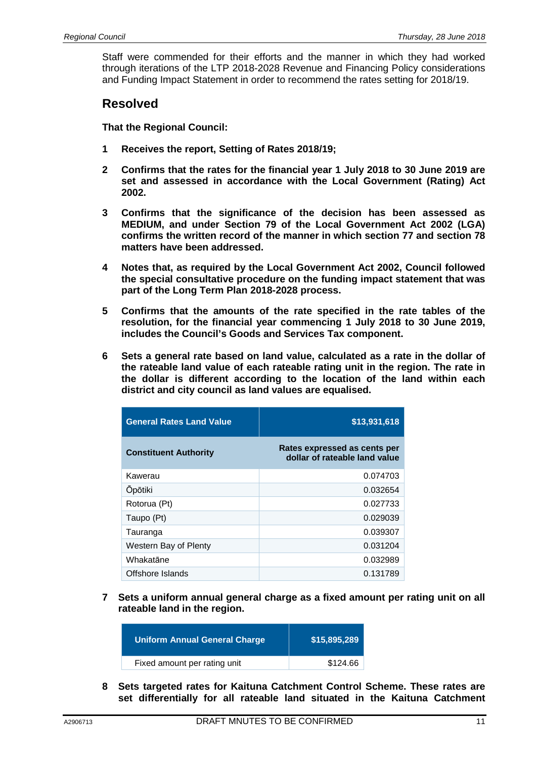Staff were commended for their efforts and the manner in which they had worked through iterations of the LTP 2018-2028 Revenue and Financing Policy considerations and Funding Impact Statement in order to recommend the rates setting for 2018/19.

### **Resolved**

**That the Regional Council:** 

- **1 Receives the report, Setting of Rates 2018/19;**
- **2 Confirms that the rates for the financial year 1 July 2018 to 30 June 2019 are set and assessed in accordance with the Local Government (Rating) Act 2002.**
- **3 Confirms that the significance of the decision has been assessed as MEDIUM, and under Section 79 of the Local Government Act 2002 (LGA) confirms the written record of the manner in which section 77 and section 78 matters have been addressed.**
- **4 Notes that, as required by the Local Government Act 2002, Council followed the special consultative procedure on the funding impact statement that was part of the Long Term Plan 2018-2028 process.**
- **5 Confirms that the amounts of the rate specified in the rate tables of the resolution, for the financial year commencing 1 July 2018 to 30 June 2019, includes the Council's Goods and Services Tax component.**
- **6 Sets a general rate based on land value, calculated as a rate in the dollar of the rateable land value of each rateable rating unit in the region. The rate in the dollar is different according to the location of the land within each district and city council as land values are equalised.**

| <b>General Rates Land Value</b> | \$13,931,618                                                  |
|---------------------------------|---------------------------------------------------------------|
| <b>Constituent Authority</b>    | Rates expressed as cents per<br>dollar of rateable land value |
| Kawerau                         | 0.074703                                                      |
| <b>Opotiki</b>                  | 0.032654                                                      |
| Rotorua (Pt)                    | 0.027733                                                      |
| Taupo (Pt)                      | 0.029039                                                      |
| Tauranga                        | 0.039307                                                      |
| Western Bay of Plenty           | 0.031204                                                      |
| Whakatane                       | 0.032989                                                      |
| Offshore Islands                | 0.131789                                                      |

**7 Sets a uniform annual general charge as a fixed amount per rating unit on all rateable land in the region.** 

| <b>Uniform Annual General Charge</b> | \$15,895,289 |
|--------------------------------------|--------------|
| Fixed amount per rating unit         | \$124.66     |
|                                      |              |

**8 Sets targeted rates for Kaituna Catchment Control Scheme. These rates are set differentially for all rateable land situated in the Kaituna Catchment**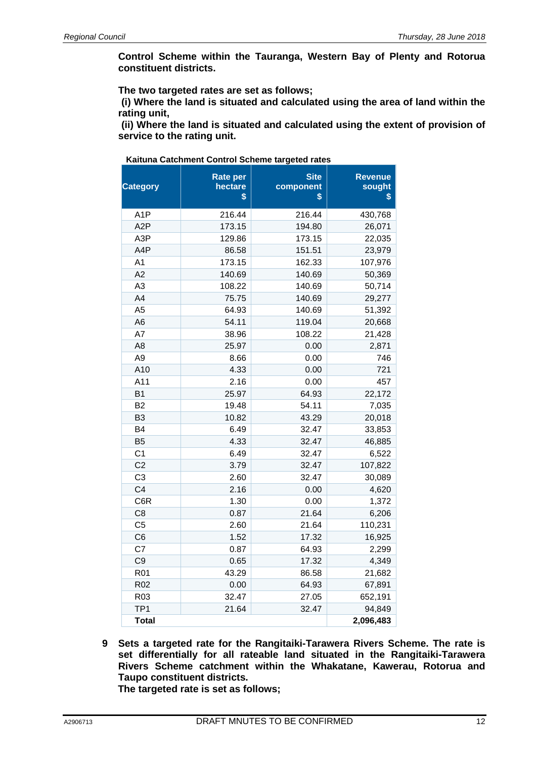**Control Scheme within the Tauranga, Western Bay of Plenty and Rotorua constituent districts.** 

 **The two targeted rates are set as follows;** 

**(i) Where the land is situated and calculated using the area of land within the rating unit,** 

**(ii) Where the land is situated and calculated using the extent of provision of service to the rating unit.** 

| Kaituna Catchment Control Scheme targeted rates |  |
|-------------------------------------------------|--|
|-------------------------------------------------|--|

| <b>Category</b>  | <b>Rate per</b><br>hectare<br>\$ | <b>Site</b><br>component<br>\$ | <b>Revenue</b><br>sought<br>\$ |
|------------------|----------------------------------|--------------------------------|--------------------------------|
| A <sub>1</sub> P | 216.44                           | 216.44                         | 430,768                        |
| A <sub>2</sub> P | 173.15                           | 194.80                         | 26,071                         |
| A3P              | 129.86                           | 173.15                         | 22,035                         |
| A4P              | 86.58                            | 151.51                         | 23,979                         |
| A <sub>1</sub>   | 173.15                           | 162.33                         | 107,976                        |
| A2               | 140.69                           | 140.69                         | 50,369                         |
| A <sub>3</sub>   | 108.22                           | 140.69                         | 50,714                         |
| A4               | 75.75                            | 140.69                         | 29,277                         |
| A <sub>5</sub>   | 64.93                            | 140.69                         | 51,392                         |
| A6               | 54.11                            | 119.04                         | 20,668                         |
| A7               | 38.96                            | 108.22                         | 21,428                         |
| A <sub>8</sub>   | 25.97                            | 0.00                           | 2,871                          |
| A <sub>9</sub>   | 8.66                             | 0.00                           | 746                            |
| A10              | 4.33                             | 0.00                           | 721                            |
| A11              | 2.16                             | 0.00                           | 457                            |
| B <sub>1</sub>   | 25.97                            | 64.93                          | 22,172                         |
| B <sub>2</sub>   | 19.48                            | 54.11                          | 7,035                          |
| B <sub>3</sub>   | 10.82                            | 43.29                          | 20,018                         |
| B <sub>4</sub>   | 6.49                             | 32.47                          | 33,853                         |
| <b>B5</b>        | 4.33                             | 32.47                          | 46,885                         |
| C <sub>1</sub>   | 6.49                             | 32.47                          | 6,522                          |
| C <sub>2</sub>   | 3.79                             | 32.47                          | 107,822                        |
| C <sub>3</sub>   | 2.60                             | 32.47                          | 30,089                         |
| C <sub>4</sub>   | 2.16                             | 0.00                           | 4,620                          |
| C6R              | 1.30                             | 0.00                           | 1,372                          |
| C <sub>8</sub>   | 0.87                             | 21.64                          | 6,206                          |
| C <sub>5</sub>   | 2.60                             | 21.64                          | 110,231                        |
| C <sub>6</sub>   | 1.52                             | 17.32                          | 16,925                         |
| C7               | 0.87                             | 64.93                          | 2,299                          |
| C <sub>9</sub>   | 0.65                             | 17.32                          | 4,349                          |
| R <sub>01</sub>  | 43.29                            | 86.58                          | 21,682                         |
| R <sub>02</sub>  | 0.00                             | 64.93                          | 67,891                         |
| R <sub>03</sub>  | 32.47                            | 27.05                          | 652,191                        |
| TP <sub>1</sub>  | 21.64                            | 32.47                          | 94,849                         |
| <b>Total</b>     |                                  |                                | 2,096,483                      |

**9 Sets a targeted rate for the Rangitaiki-Tarawera Rivers Scheme. The rate is set differentially for all rateable land situated in the Rangitaiki-Tarawera Rivers Scheme catchment within the Whakatane, Kawerau, Rotorua and Taupo constituent districts.** 

**The targeted rate is set as follows;**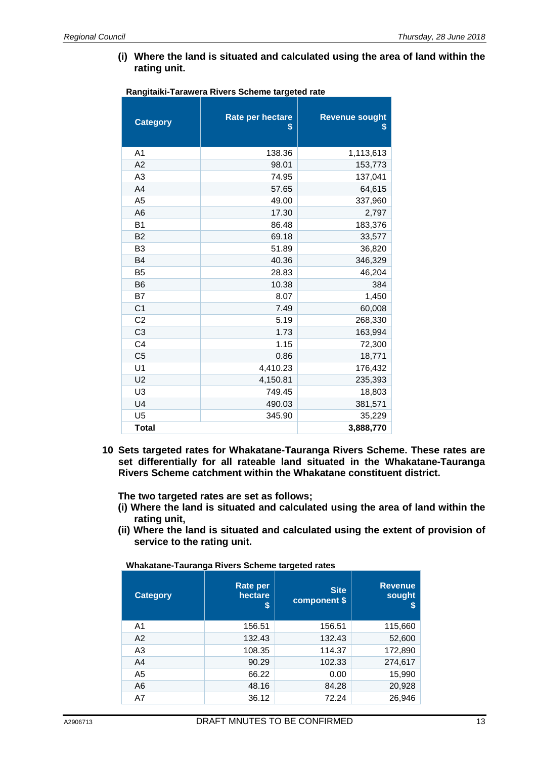**(i) Where the land is situated and calculated using the area of land within the rating unit.** 

| <b>Category</b> | Rate per hectare<br>\$ | <b>Revenue sought</b><br>\$ |
|-----------------|------------------------|-----------------------------|
| A <sub>1</sub>  | 138.36                 | 1,113,613                   |
| A <sub>2</sub>  | 98.01                  | 153,773                     |
| A <sub>3</sub>  | 74.95                  | 137,041                     |
| A4              | 57.65                  | 64,615                      |
| A <sub>5</sub>  | 49.00                  | 337,960                     |
| A <sub>6</sub>  | 17.30                  | 2,797                       |
| B <sub>1</sub>  | 86.48                  | 183,376                     |
| <b>B2</b>       | 69.18                  | 33,577                      |
| B <sub>3</sub>  | 51.89                  | 36,820                      |
| <b>B4</b>       | 40.36                  | 346,329                     |
| B <sub>5</sub>  | 28.83                  | 46,204                      |
| B <sub>6</sub>  | 10.38                  | 384                         |
| B7              | 8.07                   | 1,450                       |
| C <sub>1</sub>  | 7.49                   | 60,008                      |
| C <sub>2</sub>  | 5.19                   | 268,330                     |
| C <sub>3</sub>  | 1.73                   | 163,994                     |
| C <sub>4</sub>  | 1.15                   | 72,300                      |
| C <sub>5</sub>  | 0.86                   | 18,771                      |
| U <sub>1</sub>  | 4,410.23               | 176,432                     |
| U <sub>2</sub>  | 4,150.81               | 235,393                     |
| U <sub>3</sub>  | 749.45                 | 18,803                      |
| U <sub>4</sub>  | 490.03                 | 381,571                     |
| U <sub>5</sub>  | 345.90                 | 35,229                      |
| <b>Total</b>    |                        | 3,888,770                   |

#### **Rangitaiki-Tarawera Rivers Scheme targeted rate**

**10 Sets targeted rates for Whakatane-Tauranga Rivers Scheme. These rates are set differentially for all rateable land situated in the Whakatane-Tauranga Rivers Scheme catchment within the Whakatane constituent district.** 

**The two targeted rates are set as follows;** 

- **(i) Where the land is situated and calculated using the area of land within the rating unit,**
- **(ii) Where the land is situated and calculated using the extent of provision of service to the rating unit.**

**Whakatane-Tauranga Rivers Scheme targeted rates** 

| <b>Category</b> | <b>Rate per</b><br>hectare<br>S | <b>Site</b><br>component \$ | <b>Revenue</b><br>sought<br>S |
|-----------------|---------------------------------|-----------------------------|-------------------------------|
| A1              | 156.51                          | 156.51                      | 115,660                       |
| A2              | 132.43                          | 132.43                      | 52,600                        |
| A <sub>3</sub>  | 108.35                          | 114.37                      | 172,890                       |
| A <sub>4</sub>  | 90.29                           | 102.33                      | 274,617                       |
| A <sub>5</sub>  | 66.22                           | 0.00                        | 15,990                        |
| A <sub>6</sub>  | 48.16                           | 84.28                       | 20,928                        |
| A7              | 36.12                           | 72.24                       | 26,946                        |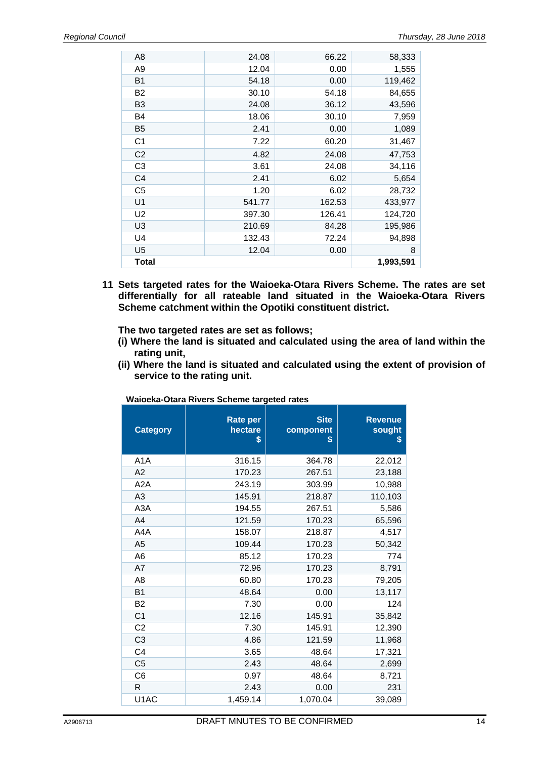| Total          |        |        | 1,993,591 |
|----------------|--------|--------|-----------|
| U <sub>5</sub> | 12.04  | 0.00   | 8         |
| U4             | 132.43 | 72.24  | 94,898    |
| U3             | 210.69 | 84.28  | 195,986   |
| U <sub>2</sub> | 397.30 | 126.41 | 124,720   |
| U1             | 541.77 | 162.53 | 433,977   |
| C <sub>5</sub> | 1.20   | 6.02   | 28,732    |
| C4             | 2.41   | 6.02   | 5,654     |
| C <sub>3</sub> | 3.61   | 24.08  | 34,116    |
| C <sub>2</sub> | 4.82   | 24.08  | 47,753    |
| C <sub>1</sub> | 7.22   | 60.20  | 31,467    |
| <b>B5</b>      | 2.41   | 0.00   | 1,089     |
| B4             | 18.06  | 30.10  | 7,959     |
| B <sub>3</sub> | 24.08  | 36.12  | 43,596    |
| <b>B2</b>      | 30.10  | 54.18  | 84,655    |
| <b>B1</b>      | 54.18  | 0.00   | 119,462   |
| A <sub>9</sub> | 12.04  | 0.00   | 1,555     |
| A <sub>8</sub> | 24.08  | 66.22  | 58,333    |
|                |        |        |           |

**11 Sets targeted rates for the Waioeka-Otara Rivers Scheme. The rates are set differentially for all rateable land situated in the Waioeka-Otara Rivers Scheme catchment within the Opotiki constituent district.** 

 **The two targeted rates are set as follows;** 

- **(i) Where the land is situated and calculated using the area of land within the rating unit,**
- **(ii) Where the land is situated and calculated using the extent of provision of service to the rating unit.**

| <b>Category</b>   | Rate per<br>hectare<br>\$ | <b>Site</b><br>component<br>S | <b>Revenue</b><br>sought<br>\$ |
|-------------------|---------------------------|-------------------------------|--------------------------------|
| A <sub>1</sub> A  | 316.15                    | 364.78                        | 22,012                         |
| A2                | 170.23                    | 267.51                        | 23,188                         |
| A <sub>2</sub> A  | 243.19                    | 303.99                        | 10,988                         |
| A3                | 145.91                    | 218.87                        | 110,103                        |
| A <sub>3</sub> A  | 194.55                    | 267.51                        | 5,586                          |
| A4                | 121.59                    | 170.23                        | 65,596                         |
| A4A               | 158.07                    | 218.87                        | 4,517                          |
| A5                | 109.44                    | 170.23                        | 50,342                         |
| A6                | 85.12                     | 170.23                        | 774                            |
| A7                | 72.96                     | 170.23                        | 8,791                          |
| A8                | 60.80                     | 170.23                        | 79,205                         |
| <b>B1</b>         | 48.64                     | 0.00                          | 13,117                         |
| <b>B2</b>         | 7.30                      | 0.00                          | 124                            |
| C <sub>1</sub>    | 12.16                     | 145.91                        | 35,842                         |
| C <sub>2</sub>    | 7.30                      | 145.91                        | 12,390                         |
| C <sub>3</sub>    | 4.86                      | 121.59                        | 11,968                         |
| C <sub>4</sub>    | 3.65                      | 48.64                         | 17,321                         |
| C <sub>5</sub>    | 2.43                      | 48.64                         | 2,699                          |
| C <sub>6</sub>    | 0.97                      | 48.64                         | 8,721                          |
| R                 | 2.43                      | 0.00                          | 231                            |
| U <sub>1</sub> AC | 1,459.14                  | 1,070.04                      | 39,089                         |

**Waioeka-Otara Rivers Scheme targeted rates**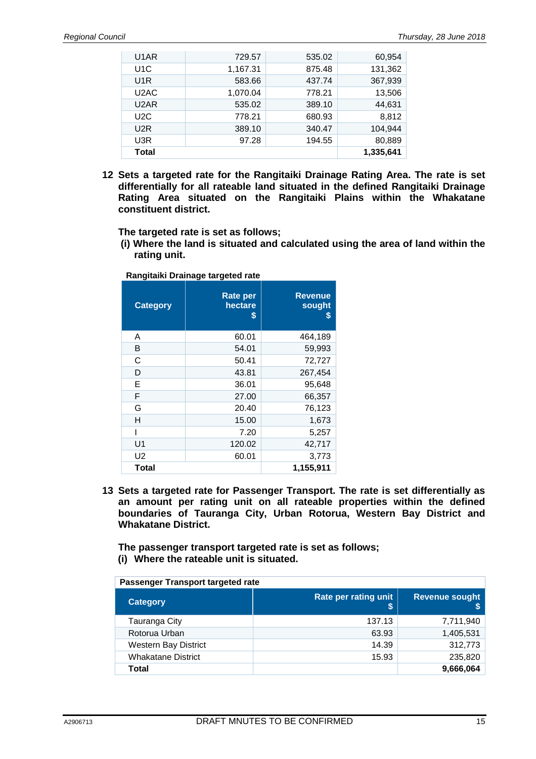| U <sub>1</sub> AR | 729.57   | 535.02 | 60.954    |
|-------------------|----------|--------|-----------|
| U <sub>1</sub> C  | 1,167.31 | 875.48 | 131,362   |
| U <sub>1</sub> R  | 583.66   | 437.74 | 367,939   |
| U <sub>2</sub> AC | 1,070.04 | 778.21 | 13,506    |
| U <sub>2</sub> AR | 535.02   | 389.10 | 44.631    |
| U2C               | 778.21   | 680.93 | 8,812     |
| U <sub>2</sub> R  | 389.10   | 340.47 | 104,944   |
| U3R               | 97.28    | 194.55 | 80,889    |
| Total             |          |        | 1,335,641 |

**12 Sets a targeted rate for the Rangitaiki Drainage Rating Area. The rate is set differentially for all rateable land situated in the defined Rangitaiki Drainage Rating Area situated on the Rangitaiki Plains within the Whakatane constituent district.** 

 **The targeted rate is set as follows;** 

 **(i) Where the land is situated and calculated using the area of land within the rating unit.** 

| <b>Category</b> | <b>Rate per</b><br>hectare<br>\$ | <b>Revenue</b><br>sought<br>S |
|-----------------|----------------------------------|-------------------------------|
| A               | 60.01                            | 464,189                       |
| B               | 54.01                            | 59,993                        |
| C               | 50.41                            | 72,727                        |
| D               | 43.81                            | 267,454                       |
| E               | 36.01                            | 95,648                        |
| F               | 27.00                            | 66,357                        |
| G               | 20.40                            | 76,123                        |
| н               | 15.00                            | 1,673                         |
| I               | 7.20                             | 5,257                         |
| U1              | 120.02                           | 42,717                        |
| U <sub>2</sub>  | 60.01                            | 3,773                         |
| <b>Total</b>    |                                  | 1,155,911                     |
|                 |                                  |                               |

**Rangitaiki Drainage targeted rate** 

**13 Sets a targeted rate for Passenger Transport. The rate is set differentially as an amount per rating unit on all rateable properties within the defined boundaries of Tauranga City, Urban Rotorua, Western Bay District and Whakatane District.** 

 **The passenger transport targeted rate is set as follows; (i) Where the rateable unit is situated.** 

**Passenger Transport targeted rate** 

| <b>Category</b>             | Rate per rating unit | <b>Revenue sought</b> |
|-----------------------------|----------------------|-----------------------|
| Tauranga City               | 137.13               | 7,711,940             |
| Rotorua Urban               | 63.93                | 1,405,531             |
| <b>Western Bay District</b> | 14.39                | 312,773               |
| <b>Whakatane District</b>   | 15.93                | 235,820               |
| Total                       |                      | 9,666,064             |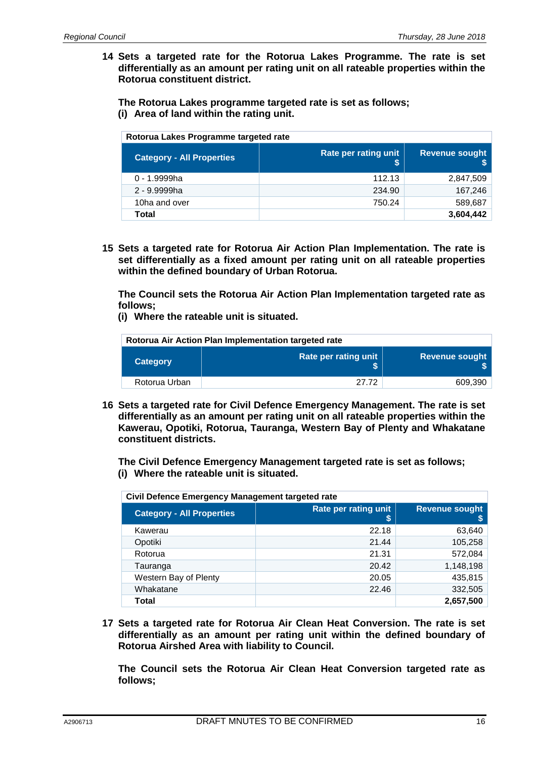**14 Sets a targeted rate for the Rotorua Lakes Programme. The rate is set differentially as an amount per rating unit on all rateable properties within the Rotorua constituent district.** 

 **The Rotorua Lakes programme targeted rate is set as follows; (i) Area of land within the rating unit.** 

| Rotorua Lakes Programme targeted rate |                      |                       |  |
|---------------------------------------|----------------------|-----------------------|--|
| <b>Category - All Properties</b>      | Rate per rating unit | <b>Revenue sought</b> |  |
| 0 - 1.9999ha                          | 112.13               | 2,847,509             |  |
| 2 - 9.9999ha                          | 234.90               | 167,246               |  |
| 10ha and over                         | 750.24               | 589,687               |  |
| Total                                 |                      | 3,604,442             |  |
|                                       |                      |                       |  |

**15 Sets a targeted rate for Rotorua Air Action Plan Implementation. The rate is set differentially as a fixed amount per rating unit on all rateable properties within the defined boundary of Urban Rotorua.** 

**The Council sets the Rotorua Air Action Plan Implementation targeted rate as follows;** 

**(i) Where the rateable unit is situated.** 

| Rotorua Air Action Plan Implementation targeted rate |                       |  |
|------------------------------------------------------|-----------------------|--|
|                                                      |                       |  |
|                                                      | <b>Revenue sought</b> |  |
| 27.72                                                | 609.390               |  |
|                                                      | Rate per rating unit  |  |

**16 Sets a targeted rate for Civil Defence Emergency Management. The rate is set differentially as an amount per rating unit on all rateable properties within the Kawerau, Opotiki, Rotorua, Tauranga, Western Bay of Plenty and Whakatane constituent districts.** 

 **The Civil Defence Emergency Management targeted rate is set as follows; (i) Where the rateable unit is situated.** 

| Civil Defence Emergency Management targeted rate |                           |                            |  |
|--------------------------------------------------|---------------------------|----------------------------|--|
| <b>Category - All Properties</b>                 | Rate per rating unit<br>S | <b>Revenue sought</b><br>S |  |
| Kawerau                                          | 22.18                     | 63,640                     |  |
| Opotiki                                          | 21.44                     | 105,258                    |  |
| Rotorua                                          | 21.31                     | 572,084                    |  |
| Tauranga                                         | 20.42                     | 1,148,198                  |  |
| Western Bay of Plenty                            | 20.05                     | 435,815                    |  |
| Whakatane                                        | 22.46                     | 332,505                    |  |
| Total                                            |                           | 2,657,500                  |  |

**17 Sets a targeted rate for Rotorua Air Clean Heat Conversion. The rate is set differentially as an amount per rating unit within the defined boundary of Rotorua Airshed Area with liability to Council.** 

 **The Council sets the Rotorua Air Clean Heat Conversion targeted rate as follows;**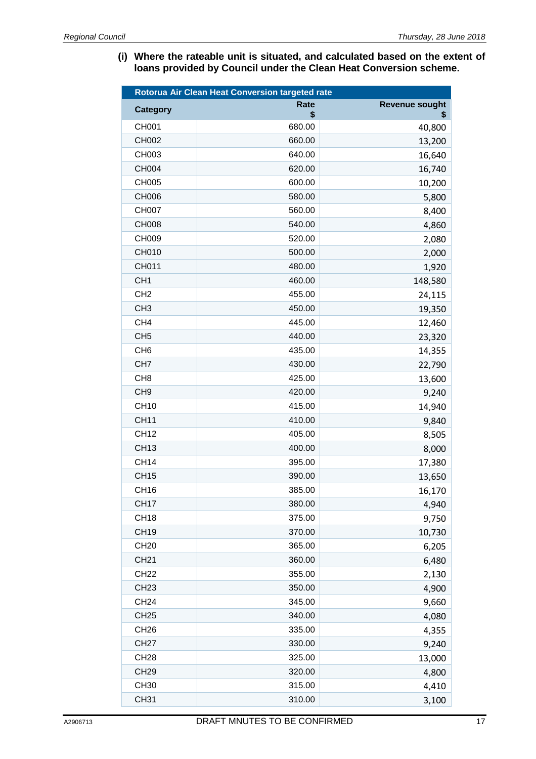**(i) Where the rateable unit is situated, and calculated based on the extent of loans provided by Council under the Clean Heat Conversion scheme.** 

| Rotorua Air Clean Heat Conversion targeted rate |                   |                             |
|-------------------------------------------------|-------------------|-----------------------------|
| <b>Category</b>                                 | <b>Rate</b><br>\$ | <b>Revenue sought</b><br>\$ |
| CH001                                           | 680.00            | 40,800                      |
| CH002                                           | 660.00            | 13,200                      |
| CH003                                           | 640.00            | 16,640                      |
| CH004                                           | 620.00            | 16,740                      |
| <b>CH005</b>                                    | 600.00            | 10,200                      |
| CH006                                           | 580.00            | 5,800                       |
| <b>CH007</b>                                    | 560.00            | 8,400                       |
| <b>CH008</b>                                    | 540.00            | 4,860                       |
| CH009                                           | 520.00            | 2,080                       |
| CH010                                           | 500.00            | 2,000                       |
| CH011                                           | 480.00            | 1,920                       |
| CH <sub>1</sub>                                 | 460.00            | 148,580                     |
| CH <sub>2</sub>                                 | 455.00            | 24,115                      |
| CH <sub>3</sub>                                 | 450.00            | 19,350                      |
| CH <sub>4</sub>                                 | 445.00            | 12,460                      |
| CH <sub>5</sub>                                 | 440.00            | 23,320                      |
| CH <sub>6</sub>                                 | 435.00            | 14,355                      |
| CH <sub>7</sub>                                 | 430.00            | 22,790                      |
| CH <sub>8</sub>                                 | 425.00            | 13,600                      |
| CH <sub>9</sub>                                 | 420.00            | 9,240                       |
| <b>CH10</b>                                     | 415.00            | 14,940                      |
| <b>CH11</b>                                     | 410.00            | 9,840                       |
| <b>CH12</b>                                     | 405.00            | 8,505                       |
| <b>CH13</b>                                     | 400.00            | 8,000                       |
| <b>CH14</b>                                     | 395.00            | 17,380                      |
| <b>CH15</b>                                     | 390.00            | 13,650                      |
| <b>CH16</b>                                     | 385.00            | 16,170                      |
| <b>CH17</b>                                     | 380.00            | 4,940                       |
| <b>CH18</b>                                     | 375.00            | 9,750                       |
| <b>CH19</b>                                     | 370.00            | 10,730                      |
| <b>CH20</b>                                     | 365.00            | 6,205                       |
| <b>CH21</b>                                     | 360.00            | 6,480                       |
| <b>CH22</b>                                     | 355.00            | 2,130                       |
| <b>CH23</b>                                     | 350.00            | 4,900                       |
| <b>CH24</b>                                     | 345.00            | 9,660                       |
| <b>CH25</b>                                     | 340.00            | 4,080                       |
| <b>CH26</b>                                     | 335.00            | 4,355                       |
| <b>CH27</b>                                     | 330.00            | 9,240                       |
| <b>CH28</b>                                     | 325.00            | 13,000                      |
| <b>CH29</b>                                     | 320.00            | 4,800                       |
| <b>CH30</b>                                     | 315.00            | 4,410                       |
| <b>CH31</b>                                     | 310.00            | 3,100                       |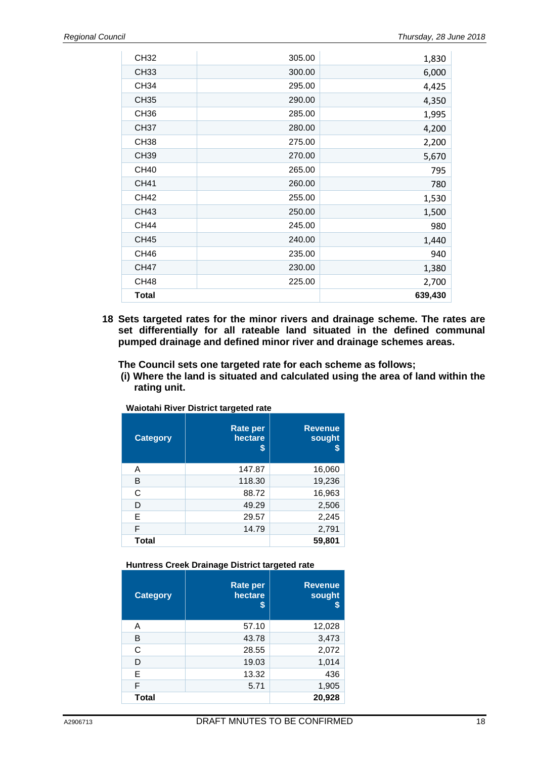| CH32             | 305.00 | 1,830   |
|------------------|--------|---------|
| <b>CH33</b>      | 300.00 | 6,000   |
| <b>CH34</b>      | 295.00 | 4,425   |
| <b>CH35</b>      | 290.00 | 4,350   |
| CH <sub>36</sub> | 285.00 | 1,995   |
| <b>CH37</b>      | 280.00 | 4,200   |
| CH <sub>38</sub> | 275.00 | 2,200   |
| <b>CH39</b>      | 270.00 | 5,670   |
| <b>CH40</b>      | 265.00 | 795     |
| <b>CH41</b>      | 260.00 | 780     |
| <b>CH42</b>      | 255.00 | 1,530   |
| CH43             | 250.00 | 1,500   |
| <b>CH44</b>      | 245.00 | 980     |
| <b>CH45</b>      | 240.00 | 1,440   |
| CH <sub>46</sub> | 235.00 | 940     |
| <b>CH47</b>      | 230.00 | 1,380   |
| CH <sub>48</sub> | 225.00 | 2,700   |
| <b>Total</b>     |        | 639,430 |

**18 Sets targeted rates for the minor rivers and drainage scheme. The rates are set differentially for all rateable land situated in the defined communal pumped drainage and defined minor river and drainage schemes areas.** 

#### **The Council sets one targeted rate for each scheme as follows;**

 **(i) Where the land is situated and calculated using the area of land within the rating unit.** 

| <b>Category</b> | <b>Rate per</b><br>hectare<br>S | <b>Revenue</b><br>sought<br>S |
|-----------------|---------------------------------|-------------------------------|
| А               | 147.87                          | 16,060                        |
| В               | 118.30                          | 19,236                        |
| C               | 88.72                           | 16,963                        |
| D               | 49.29                           | 2,506                         |
| Е               | 29.57                           | 2,245                         |
| F               | 14.79                           | 2,791                         |
| Total           |                                 | 59,801                        |

**Waiotahi River District targeted rate** 

#### **Huntress Creek Drainage District targeted rate**

| <b>Category</b> | <b>Rate per</b><br>hectare<br>S | <b>Revenue</b><br>sought |
|-----------------|---------------------------------|--------------------------|
| A               | 57.10                           | 12,028                   |
| в               | 43.78                           | 3,473                    |
| C               | 28.55                           | 2,072                    |
| D               | 19.03                           | 1,014                    |
| Е               | 13.32                           | 436                      |
| F               | 5.71                            | 1,905                    |
| <b>Total</b>    |                                 | 20,928                   |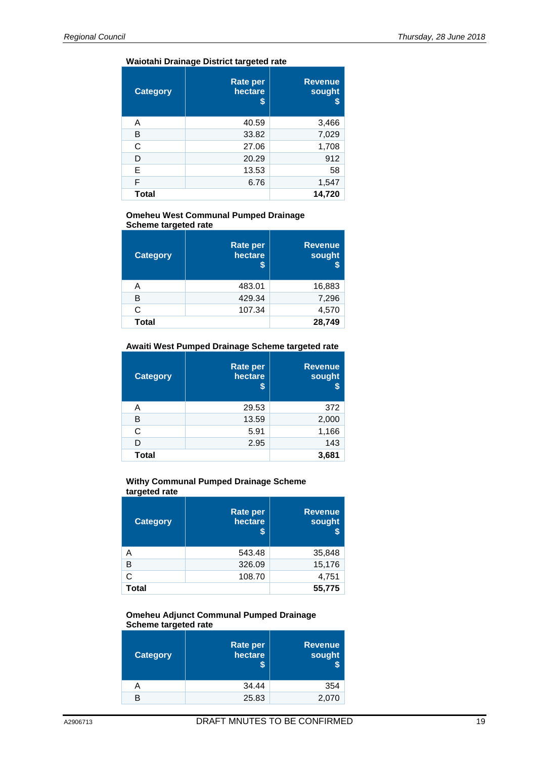#### **Waiotahi Drainage District targeted rate**

| <b>Category</b> | <b>Rate per</b><br>hectare<br>S | <b>Revenue</b><br>sought<br>\$ |
|-----------------|---------------------------------|--------------------------------|
| A               | 40.59                           | 3,466                          |
| B               | 33.82                           | 7,029                          |
| C               | 27.06                           | 1,708                          |
| D               | 20.29                           | 912                            |
| Е               | 13.53                           | 58                             |
| F               | 6.76                            | 1,547                          |
| Total           |                                 | 14,720                         |

#### **Omeheu West Communal Pumped Drainage Scheme targeted rate**

| <b>Category</b> | <b>Rate per</b><br>hectare | <b>Revenue</b><br>sought<br>\$ |
|-----------------|----------------------------|--------------------------------|
| Α               | 483.01                     | 16,883                         |
| в               | 429.34                     | 7,296                          |
| C               | 107.34                     | 4,570                          |
| <b>Total</b>    |                            | 28,749                         |

#### **Awaiti West Pumped Drainage Scheme targeted rate**

| <b>Category</b> | <b>Rate per</b><br>hectare<br>S | <b>Revenue</b><br>sought<br>\$ |
|-----------------|---------------------------------|--------------------------------|
| Α               | 29.53                           | 372                            |
| в               | 13.59                           | 2,000                          |
| C               | 5.91                            | 1,166                          |
| D               | 2.95                            | 143                            |
| <b>Total</b>    |                                 | 3,681                          |

#### **Withy Communal Pumped Drainage Scheme targeted rate**

| <b>Category</b> | <b>Rate per</b><br>hectare<br>S | <b>Revenue</b><br>sought<br>\$ |
|-----------------|---------------------------------|--------------------------------|
| Α               | 543.48                          | 35,848                         |
| B               | 326.09                          | 15,176                         |
| Ć               | 108.70                          | 4,751                          |
| Total           |                                 | 55,775                         |

#### **Omeheu Adjunct Communal Pumped Drainage Scheme targeted rate**

| <b>Rate per</b><br>hectare | <b>Revenue</b><br>sought |
|----------------------------|--------------------------|
| 34.44                      | 354                      |
| 25.83                      | 2,070                    |
|                            |                          |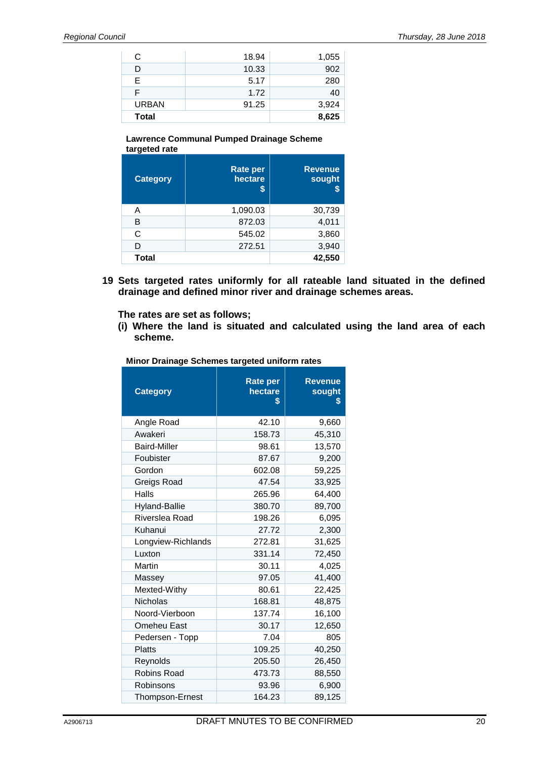| С            | 18.94 | 1,055 |
|--------------|-------|-------|
| D            | 10.33 | 902   |
| Е            | 5.17  | 280   |
| F            | 1.72  | 40    |
| <b>URBAN</b> | 91.25 | 3,924 |
| <b>Total</b> |       | 8,625 |

#### **Lawrence Communal Pumped Drainage Scheme targeted rate**

| <b>Category</b> | <b>Rate per</b><br>hectare<br>\$ | <b>Revenue</b><br>sought |
|-----------------|----------------------------------|--------------------------|
| A               | 1,090.03                         | 30,739                   |
| в               | 872.03                           | 4,011                    |
| C               | 545.02                           | 3,860                    |
| D               | 272.51                           | 3,940                    |
| Total           |                                  | 42,550                   |

**19 Sets targeted rates uniformly for all rateable land situated in the defined drainage and defined minor river and drainage schemes areas.** 

**The rates are set as follows;** 

**(i) Where the land is situated and calculated using the land area of each scheme.** 

| <b>Category</b>        | <b>Rate per</b><br>hectare<br>S | <b>Revenue</b><br>sought<br>S |
|------------------------|---------------------------------|-------------------------------|
| Angle Road             | 42.10                           | 9,660                         |
| Awakeri                | 158.73                          | 45,310                        |
| <b>Baird-Miller</b>    | 98.61                           | 13,570                        |
| Foubister              | 87.67                           | 9,200                         |
| Gordon                 | 602.08                          | 59,225                        |
| Greigs Road            | 47.54                           | 33,925                        |
| Halls                  | 265.96                          | 64,400                        |
| Hyland-Ballie          | 380.70                          | 89,700                        |
| Riverslea Road         | 198.26                          | 6,095                         |
| Kuhanui                | 27.72                           | 2,300                         |
| Longview-Richlands     | 272.81                          | 31,625                        |
| Luxton                 | 331.14                          | 72,450                        |
| Martin                 | 30.11                           | 4,025                         |
| Massey                 | 97.05                           | 41,400                        |
| Mexted-Withy           | 80.61                           | 22,425                        |
| <b>Nicholas</b>        | 168.81                          | 48,875                        |
| Noord-Vierboon         | 137.74                          | 16,100                        |
| Omeheu East            | 30.17                           | 12,650                        |
| Pedersen - Topp        | 7.04                            | 805                           |
| <b>Platts</b>          | 109.25                          | 40,250                        |
| Reynolds               | 205.50                          | 26,450                        |
| Robins Road            | 473.73                          | 88,550                        |
| Robinsons              | 93.96                           | 6,900                         |
| <b>Thompson-Ernest</b> | 164.23                          | 89,125                        |

**Minor Drainage Schemes targeted uniform rates**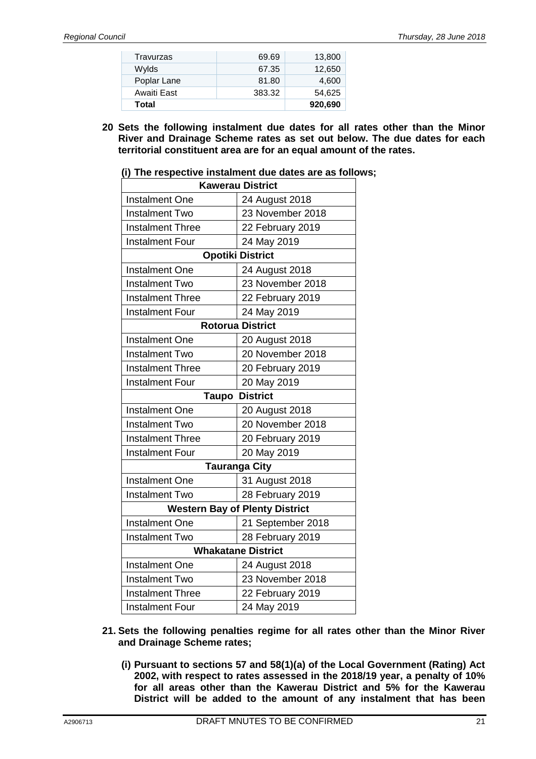| Total       |        | 920,690 |
|-------------|--------|---------|
| Awaiti East | 383.32 | 54.625  |
| Poplar Lane | 81.80  | 4.600   |
| Wylds       | 67.35  | 12,650  |
| Travurzas   | 69.69  | 13,800  |

**20 Sets the following instalment due dates for all rates other than the Minor River and Drainage Scheme rates as set out below. The due dates for each territorial constituent area are for an equal amount of the rates.** 

| <b>Kawerau District</b>                     |                         |  |
|---------------------------------------------|-------------------------|--|
| <b>Instalment One</b>                       | 24 August 2018          |  |
| <b>Instalment Two</b>                       | 23 November 2018        |  |
| <b>Instalment Three</b>                     | 22 February 2019        |  |
| <b>Instalment Four</b>                      | 24 May 2019             |  |
|                                             | <b>Opotiki District</b> |  |
| <b>Instalment One</b>                       | 24 August 2018          |  |
| <b>Instalment Two</b>                       | 23 November 2018        |  |
| <b>Instalment Three</b>                     | 22 February 2019        |  |
| <b>Instalment Four</b>                      | 24 May 2019             |  |
|                                             | <b>Rotorua District</b> |  |
| <b>Instalment One</b>                       | 20 August 2018          |  |
| <b>Instalment Two</b>                       | 20 November 2018        |  |
| <b>Instalment Three</b>                     | 20 February 2019        |  |
| <b>Instalment Four</b>                      | 20 May 2019             |  |
| <b>Taupo</b>                                | <b>District</b>         |  |
| <b>Instalment One</b><br>20 August 2018     |                         |  |
| <b>Instalment Two</b>                       | 20 November 2018        |  |
| <b>Instalment Three</b>                     | 20 February 2019        |  |
| <b>Instalment Four</b>                      | 20 May 2019             |  |
|                                             | <b>Tauranga City</b>    |  |
| <b>Instalment One</b>                       | 31 August 2018          |  |
| <b>Instalment Two</b>                       | 28 February 2019        |  |
| <b>Western Bay of Plenty District</b>       |                         |  |
| <b>Instalment One</b>                       | 21 September 2018       |  |
| <b>Instalment Two</b>                       | 28 February 2019        |  |
| <b>Whakatane District</b>                   |                         |  |
| <b>Instalment One</b>                       | 24 August 2018          |  |
| <b>Instalment Two</b>                       | 23 November 2018        |  |
| <b>Instalment Three</b><br>22 February 2019 |                         |  |
| <b>Instalment Four</b>                      | 24 May 2019             |  |

|  | (i) The respective instalment due dates are as follows; |  |
|--|---------------------------------------------------------|--|
|--|---------------------------------------------------------|--|

- **21. Sets the following penalties regime for all rates other than the Minor River and Drainage Scheme rates;** 
	- **(i) Pursuant to sections 57 and 58(1)(a) of the Local Government (Rating) Act 2002, with respect to rates assessed in the 2018/19 year, a penalty of 10% for all areas other than the Kawerau District and 5% for the Kawerau District will be added to the amount of any instalment that has been**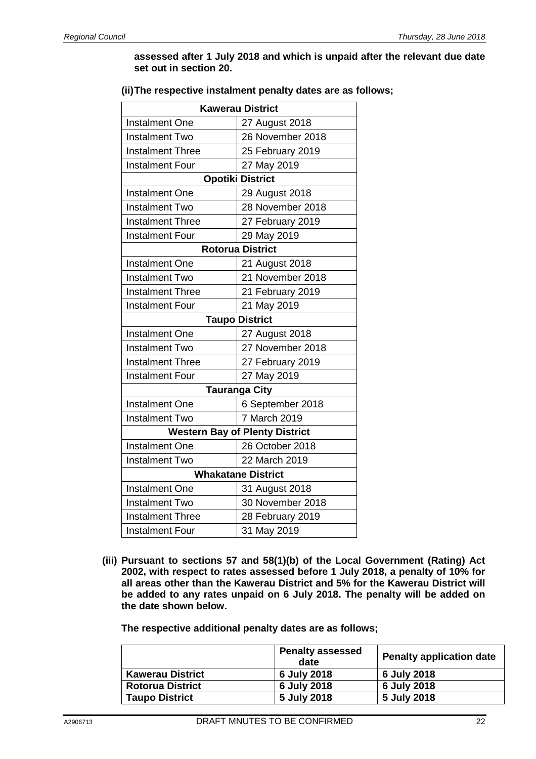#### **assessed after 1 July 2018 and which is unpaid after the relevant due date set out in section 20.**

#### **(ii) The respective instalment penalty dates are as follows;**

| <b>Kawerau District</b>                     |                                       |  |
|---------------------------------------------|---------------------------------------|--|
| <b>Instalment One</b>                       | 27 August 2018                        |  |
| <b>Instalment Two</b>                       | 26 November 2018                      |  |
| <b>Instalment Three</b>                     | 25 February 2019                      |  |
| <b>Instalment Four</b>                      | 27 May 2019                           |  |
|                                             | <b>Opotiki District</b>               |  |
| <b>Instalment One</b>                       | 29 August 2018                        |  |
| <b>Instalment Two</b>                       | 28 November 2018                      |  |
| <b>Instalment Three</b>                     | 27 February 2019                      |  |
| <b>Instalment Four</b>                      | 29 May 2019                           |  |
|                                             | <b>Rotorua District</b>               |  |
| <b>Instalment One</b>                       | 21 August 2018                        |  |
| <b>Instalment Two</b>                       | 21 November 2018                      |  |
| <b>Instalment Three</b>                     | 21 February 2019                      |  |
| <b>Instalment Four</b>                      | 21 May 2019                           |  |
|                                             | <b>Taupo District</b>                 |  |
| <b>Instalment One</b><br>27 August 2018     |                                       |  |
| <b>Instalment Two</b>                       | 27 November 2018                      |  |
| <b>Instalment Three</b>                     | 27 February 2019                      |  |
| <b>Instalment Four</b>                      | 27 May 2019                           |  |
|                                             | <b>Tauranga City</b>                  |  |
| <b>Instalment One</b>                       | 6 September 2018                      |  |
| <b>Instalment Two</b>                       | 7 March 2019                          |  |
|                                             | <b>Western Bay of Plenty District</b> |  |
| <b>Instalment One</b>                       | 26 October 2018                       |  |
| <b>Instalment Two</b>                       | 22 March 2019                         |  |
| <b>Whakatane District</b>                   |                                       |  |
| <b>Instalment One</b>                       | 31 August 2018                        |  |
| <b>Instalment Two</b>                       | 30 November 2018                      |  |
| <b>Instalment Three</b><br>28 February 2019 |                                       |  |
| <b>Instalment Four</b>                      | 31 May 2019                           |  |

**(iii) Pursuant to sections 57 and 58(1)(b) of the Local Government (Rating) Act 2002, with respect to rates assessed before 1 July 2018, a penalty of 10% for all areas other than the Kawerau District and 5% for the Kawerau District will be added to any rates unpaid on 6 July 2018. The penalty will be added on the date shown below.** 

**The respective additional penalty dates are as follows;** 

|                         | <b>Penalty assessed</b><br>date | <b>Penalty application date</b> |
|-------------------------|---------------------------------|---------------------------------|
| <b>Kawerau District</b> | 6 July 2018                     | 6 July 2018                     |
| <b>Rotorua District</b> | 6 July 2018                     | 6 July 2018                     |
| <b>Taupo District</b>   | 5 July 2018                     | 5 July 2018                     |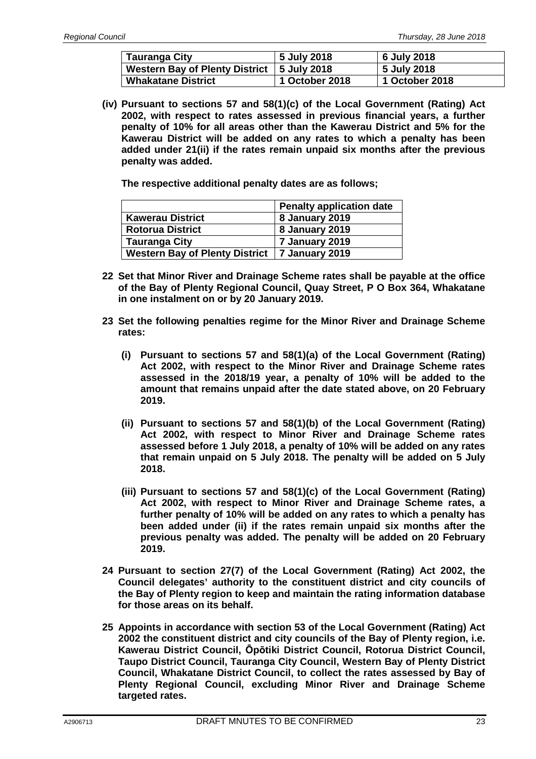| <b>Tauranga City</b>                         | 5 July 2018    | 6 July 2018    |
|----------------------------------------------|----------------|----------------|
| Western Bay of Plenty District   5 July 2018 |                | 5 July 2018    |
| <b>Whakatane District</b>                    | 1 October 2018 | 1 October 2018 |

**(iv) Pursuant to sections 57 and 58(1)(c) of the Local Government (Rating) Act 2002, with respect to rates assessed in previous financial years, a further penalty of 10% for all areas other than the Kawerau District and 5% for the Kawerau District will be added on any rates to which a penalty has been added under 21(ii) if the rates remain unpaid six months after the previous penalty was added.** 

**The respective additional penalty dates are as follows;** 

|                                                 | <b>Penalty application date</b> |
|-------------------------------------------------|---------------------------------|
| <b>Kawerau District</b>                         | 8 January 2019                  |
| <b>Rotorua District</b>                         | 8 January 2019                  |
| <b>Tauranga City</b>                            | 7 January 2019                  |
| Western Bay of Plenty District   7 January 2019 |                                 |

- **22 Set that Minor River and Drainage Scheme rates shall be payable at the office of the Bay of Plenty Regional Council, Quay Street, P O Box 364, Whakatane in one instalment on or by 20 January 2019.**
- **23 Set the following penalties regime for the Minor River and Drainage Scheme rates:** 
	- **(i) Pursuant to sections 57 and 58(1)(a) of the Local Government (Rating) Act 2002, with respect to the Minor River and Drainage Scheme rates assessed in the 2018/19 year, a penalty of 10% will be added to the amount that remains unpaid after the date stated above, on 20 February 2019.**
	- **(ii) Pursuant to sections 57 and 58(1)(b) of the Local Government (Rating) Act 2002, with respect to Minor River and Drainage Scheme rates assessed before 1 July 2018, a penalty of 10% will be added on any rates that remain unpaid on 5 July 2018. The penalty will be added on 5 July 2018.**
	- **(iii) Pursuant to sections 57 and 58(1)(c) of the Local Government (Rating) Act 2002, with respect to Minor River and Drainage Scheme rates, a further penalty of 10% will be added on any rates to which a penalty has been added under (ii) if the rates remain unpaid six months after the previous penalty was added. The penalty will be added on 20 February 2019.**
- **24 Pursuant to section 27(7) of the Local Government (Rating) Act 2002, the Council delegates' authority to the constituent district and city councils of the Bay of Plenty region to keep and maintain the rating information database for those areas on its behalf.**
- **25 Appoints in accordance with section 53 of the Local Government (Rating) Act 2002 the constituent district and city councils of the Bay of Plenty region, i.e. Kawerau District Council, Ōpōtiki District Council, Rotorua District Council, Taupo District Council, Tauranga City Council, Western Bay of Plenty District Council, Whakatane District Council, to collect the rates assessed by Bay of Plenty Regional Council, excluding Minor River and Drainage Scheme targeted rates.**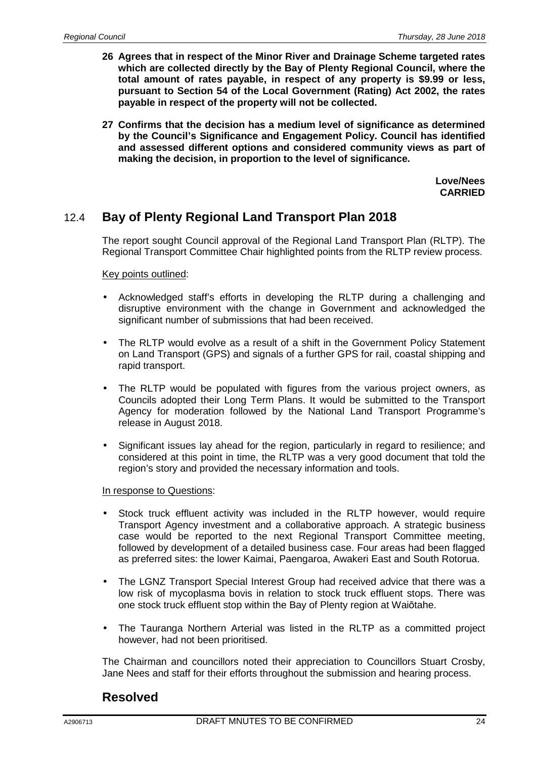- **26 Agrees that in respect of the Minor River and Drainage Scheme targeted rates which are collected directly by the Bay of Plenty Regional Council, where the total amount of rates payable, in respect of any property is \$9.99 or less, pursuant to Section 54 of the Local Government (Rating) Act 2002, the rates payable in respect of the property will not be collected.**
- **27 Confirms that the decision has a medium level of significance as determined by the Council's Significance and Engagement Policy. Council has identified and assessed different options and considered community views as part of making the decision, in proportion to the level of significance.**

**Love/Nees CARRIED**

## 12.4 **Bay of Plenty Regional Land Transport Plan 2018**

The report sought Council approval of the Regional Land Transport Plan (RLTP). The Regional Transport Committee Chair highlighted points from the RLTP review process.

Key points outlined:

- Acknowledged staff's efforts in developing the RLTP during a challenging and disruptive environment with the change in Government and acknowledged the significant number of submissions that had been received.
- The RLTP would evolve as a result of a shift in the Government Policy Statement on Land Transport (GPS) and signals of a further GPS for rail, coastal shipping and rapid transport.
- The RLTP would be populated with figures from the various project owners, as Councils adopted their Long Term Plans. It would be submitted to the Transport Agency for moderation followed by the National Land Transport Programme's release in August 2018.
- Significant issues lay ahead for the region, particularly in regard to resilience; and considered at this point in time, the RLTP was a very good document that told the region's story and provided the necessary information and tools.

#### In response to Questions:

- Stock truck effluent activity was included in the RLTP however, would require Transport Agency investment and a collaborative approach. A strategic business case would be reported to the next Regional Transport Committee meeting, followed by development of a detailed business case. Four areas had been flagged as preferred sites: the lower Kaimai, Paengaroa, Awakeri East and South Rotorua.
- The LGNZ Transport Special Interest Group had received advice that there was a low risk of mycoplasma bovis in relation to stock truck effluent stops. There was one stock truck effluent stop within the Bay of Plenty region at Waiōtahe.
- The Tauranga Northern Arterial was listed in the RLTP as a committed project however, had not been prioritised.

The Chairman and councillors noted their appreciation to Councillors Stuart Crosby, Jane Nees and staff for their efforts throughout the submission and hearing process.

#### **Resolved**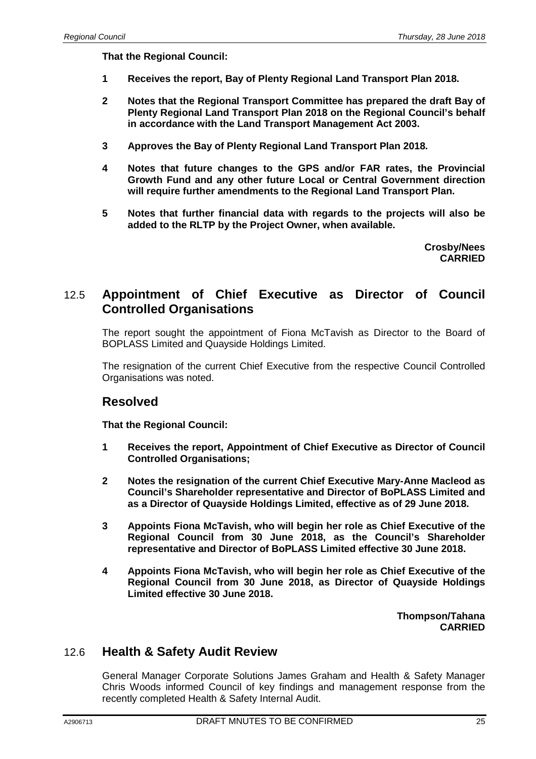**That the Regional Council:** 

- **1 Receives the report, Bay of Plenty Regional Land Transport Plan 2018.**
- **2 Notes that the Regional Transport Committee has prepared the draft Bay of Plenty Regional Land Transport Plan 2018 on the Regional Council's behalf in accordance with the Land Transport Management Act 2003.**
- **3 Approves the Bay of Plenty Regional Land Transport Plan 2018.**
- **4 Notes that future changes to the GPS and/or FAR rates, the Provincial Growth Fund and any other future Local or Central Government direction will require further amendments to the Regional Land Transport Plan.**
- **5 Notes that further financial data with regards to the projects will also be added to the RLTP by the Project Owner, when available.**

**Crosby/Nees CARRIED**

### 12.5 **Appointment of Chief Executive as Director of Council Controlled Organisations**

The report sought the appointment of Fiona McTavish as Director to the Board of BOPLASS Limited and Quayside Holdings Limited.

The resignation of the current Chief Executive from the respective Council Controlled Organisations was noted.

#### **Resolved**

**That the Regional Council:** 

- **1 Receives the report, Appointment of Chief Executive as Director of Council Controlled Organisations;**
- **2 Notes the resignation of the current Chief Executive Mary-Anne Macleod as Council's Shareholder representative and Director of BoPLASS Limited and as a Director of Quayside Holdings Limited, effective as of 29 June 2018.**
- **3 Appoints Fiona McTavish, who will begin her role as Chief Executive of the Regional Council from 30 June 2018, as the Council's Shareholder representative and Director of BoPLASS Limited effective 30 June 2018.**
- **4 Appoints Fiona McTavish, who will begin her role as Chief Executive of the Regional Council from 30 June 2018, as Director of Quayside Holdings Limited effective 30 June 2018.**

**Thompson/Tahana CARRIED**

#### 12.6 **Health & Safety Audit Review**

General Manager Corporate Solutions James Graham and Health & Safety Manager Chris Woods informed Council of key findings and management response from the recently completed Health & Safety Internal Audit.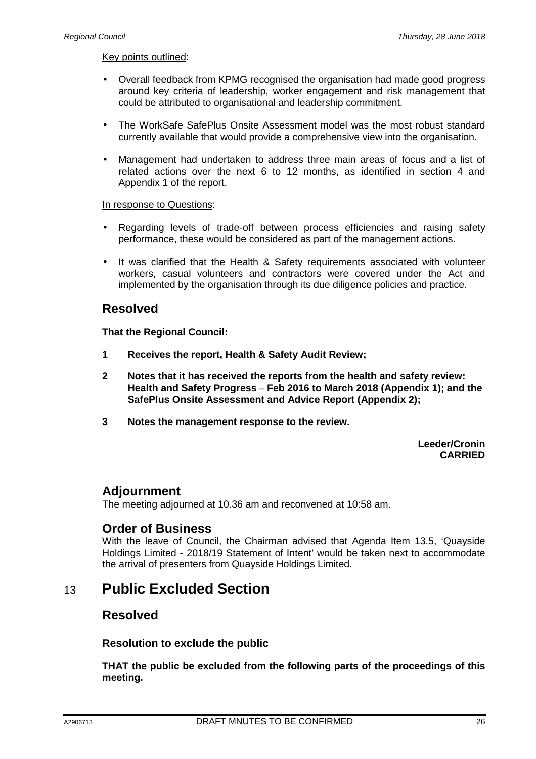#### Key points outlined:

- Overall feedback from KPMG recognised the organisation had made good progress around key criteria of leadership, worker engagement and risk management that could be attributed to organisational and leadership commitment.
- The WorkSafe SafePlus Onsite Assessment model was the most robust standard currently available that would provide a comprehensive view into the organisation.
- Management had undertaken to address three main areas of focus and a list of related actions over the next 6 to 12 months, as identified in section 4 and Appendix 1 of the report.

#### In response to Questions:

- Regarding levels of trade-off between process efficiencies and raising safety performance, these would be considered as part of the management actions.
- It was clarified that the Health & Safety requirements associated with volunteer workers, casual volunteers and contractors were covered under the Act and implemented by the organisation through its due diligence policies and practice.

#### **Resolved**

**That the Regional Council:** 

- **1 Receives the report, Health & Safety Audit Review;**
- **2 Notes that it has received the reports from the health and safety review: Health and Safety Progress – Feb 2016 to March 2018 (Appendix 1); and the SafePlus Onsite Assessment and Advice Report (Appendix 2);**
- **3 Notes the management response to the review.**

**Leeder/Cronin CARRIED**

#### **Adjournment**

The meeting adjourned at 10.36 am and reconvened at 10:58 am.

#### **Order of Business**

With the leave of Council, the Chairman advised that Agenda Item 13.5, 'Quayside Holdings Limited - 2018/19 Statement of Intent' would be taken next to accommodate the arrival of presenters from Quayside Holdings Limited.

## 13 **Public Excluded Section**

#### **Resolved**

**Resolution to exclude the public** 

**THAT the public be excluded from the following parts of the proceedings of this meeting.**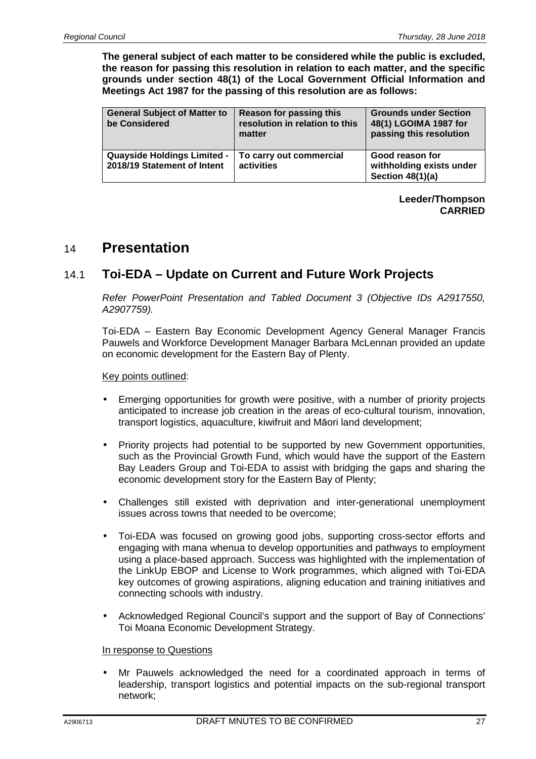**The general subject of each matter to be considered while the public is excluded, the reason for passing this resolution in relation to each matter, and the specific grounds under section 48(1) of the Local Government Official Information and Meetings Act 1987 for the passing of this resolution are as follows:** 

| <b>General Subject of Matter to</b><br>be Considered              | <b>Reason for passing this</b><br>resolution in relation to this<br>matter | <b>Grounds under Section</b><br>48(1) LGOIMA 1987 for<br>passing this resolution |
|-------------------------------------------------------------------|----------------------------------------------------------------------------|----------------------------------------------------------------------------------|
| <b>Quayside Holdings Limited -</b><br>2018/19 Statement of Intent | To carry out commercial<br>activities                                      | Good reason for<br>withholding exists under<br>Section 48(1)(a)                  |

**Leeder/Thompson CARRIED** 

# 14 **Presentation**

## 14.1 **Toi-EDA – Update on Current and Future Work Projects**

Refer PowerPoint Presentation and Tabled Document 3 (Objective IDs A2917550, A2907759).

Toi-EDA – Eastern Bay Economic Development Agency General Manager Francis Pauwels and Workforce Development Manager Barbara McLennan provided an update on economic development for the Eastern Bay of Plenty.

Key points outlined:

- Emerging opportunities for growth were positive, with a number of priority projects anticipated to increase job creation in the areas of eco-cultural tourism, innovation, transport logistics, aquaculture, kiwifruit and Māori land development;
- Priority projects had potential to be supported by new Government opportunities, such as the Provincial Growth Fund, which would have the support of the Eastern Bay Leaders Group and Toi-EDA to assist with bridging the gaps and sharing the economic development story for the Eastern Bay of Plenty;
- Challenges still existed with deprivation and inter-generational unemployment issues across towns that needed to be overcome;
- Toi-EDA was focused on growing good jobs, supporting cross-sector efforts and engaging with mana whenua to develop opportunities and pathways to employment using a place-based approach. Success was highlighted with the implementation of the LinkUp EBOP and License to Work programmes, which aligned with Toi-EDA key outcomes of growing aspirations, aligning education and training initiatives and connecting schools with industry.
- Acknowledged Regional Council's support and the support of Bay of Connections' Toi Moana Economic Development Strategy.

#### In response to Questions

• Mr Pauwels acknowledged the need for a coordinated approach in terms of leadership, transport logistics and potential impacts on the sub-regional transport network;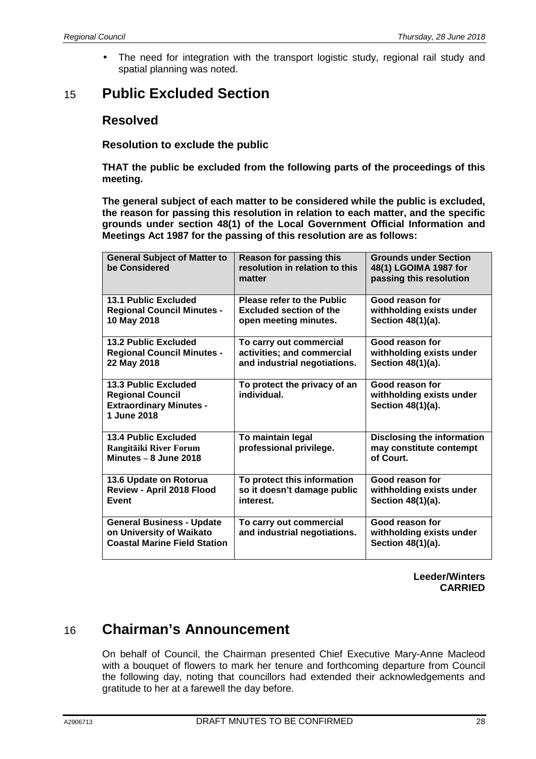• The need for integration with the transport logistic study, regional rail study and spatial planning was noted.

# 15 **Public Excluded Section**

### **Resolved**

**Resolution to exclude the public** 

**THAT the public be excluded from the following parts of the proceedings of this meeting.** 

**The general subject of each matter to be considered while the public is excluded, the reason for passing this resolution in relation to each matter, and the specific grounds under section 48(1) of the Local Government Official Information and Meetings Act 1987 for the passing of this resolution are as follows:** 

| <b>General Subject of Matter to</b><br>be Considered                                                    | Reason for passing this<br>resolution in relation to this<br>matter                   | <b>Grounds under Section</b><br>48(1) LGOIMA 1987 for<br>passing this resolution |
|---------------------------------------------------------------------------------------------------------|---------------------------------------------------------------------------------------|----------------------------------------------------------------------------------|
| <b>13.1 Public Excluded</b><br><b>Regional Council Minutes -</b><br>10 May 2018                         | Please refer to the Public<br><b>Excluded section of the</b><br>open meeting minutes. | Good reason for<br>withholding exists under<br>Section 48(1)(a).                 |
| <b>13.2 Public Excluded</b><br><b>Regional Council Minutes -</b><br>22 May 2018                         | To carry out commercial<br>activities; and commercial<br>and industrial negotiations. | Good reason for<br>withholding exists under<br>Section 48(1)(a).                 |
| <b>13.3 Public Excluded</b><br><b>Regional Council</b><br><b>Extraordinary Minutes -</b><br>1 June 2018 | To protect the privacy of an<br>individual.                                           | Good reason for<br>withholding exists under<br>Section 48(1)(a).                 |
| <b>13.4 Public Excluded</b><br>Rangitāiki River Forum<br>Minutes $-8$ June 2018                         | To maintain legal<br>professional privilege.                                          | <b>Disclosing the information</b><br>may constitute contempt<br>of Court.        |
| 13.6 Update on Rotorua<br>Review - April 2018 Flood<br>Event                                            | To protect this information<br>so it doesn't damage public<br>interest.               | Good reason for<br>withholding exists under<br>Section 48(1)(a).                 |
| <b>General Business - Update</b><br>on University of Waikato<br><b>Coastal Marine Field Station</b>     | To carry out commercial<br>and industrial negotiations.                               | Good reason for<br>withholding exists under<br>Section 48(1)(a).                 |

**Leeder/Winters CARRIED** 

# 16 **Chairman's Announcement**

On behalf of Council, the Chairman presented Chief Executive Mary-Anne Macleod with a bouquet of flowers to mark her tenure and forthcoming departure from Council the following day, noting that councillors had extended their acknowledgements and gratitude to her at a farewell the day before.